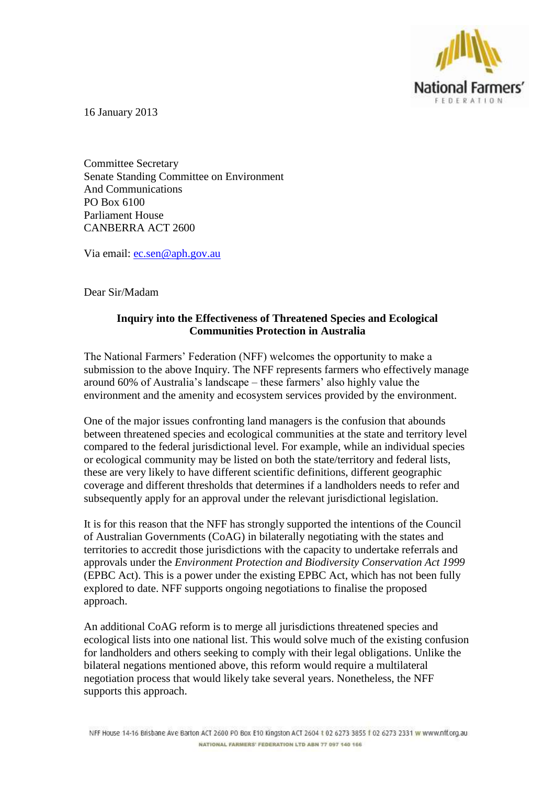

16 January 2013

Committee Secretary Senate Standing Committee on Environment And Communications PO Box 6100 Parliament House CANBERRA ACT 2600

Via email: [ec.sen@aph.gov.au](mailto:ec.sen@aph.gov.au)

Dear Sir/Madam

## **Inquiry into the Effectiveness of Threatened Species and Ecological Communities Protection in Australia**

The National Farmers' Federation (NFF) welcomes the opportunity to make a submission to the above Inquiry. The NFF represents farmers who effectively manage around 60% of Australia's landscape – these farmers' also highly value the environment and the amenity and ecosystem services provided by the environment.

One of the major issues confronting land managers is the confusion that abounds between threatened species and ecological communities at the state and territory level compared to the federal jurisdictional level. For example, while an individual species or ecological community may be listed on both the state/territory and federal lists, these are very likely to have different scientific definitions, different geographic coverage and different thresholds that determines if a landholders needs to refer and subsequently apply for an approval under the relevant jurisdictional legislation.

It is for this reason that the NFF has strongly supported the intentions of the Council of Australian Governments (CoAG) in bilaterally negotiating with the states and territories to accredit those jurisdictions with the capacity to undertake referrals and approvals under the *Environment Protection and Biodiversity Conservation Act 1999* (EPBC Act). This is a power under the existing EPBC Act, which has not been fully explored to date. NFF supports ongoing negotiations to finalise the proposed approach.

An additional CoAG reform is to merge all jurisdictions threatened species and ecological lists into one national list. This would solve much of the existing confusion for landholders and others seeking to comply with their legal obligations. Unlike the bilateral negations mentioned above, this reform would require a multilateral negotiation process that would likely take several years. Nonetheless, the NFF supports this approach.